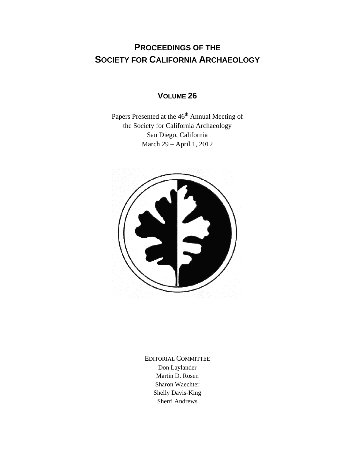## **PROCEEDINGS OF THE SOCIETY FOR CALIFORNIA ARCHAEOLOGY**

## **VOLUME 26**

Papers Presented at the 46<sup>th</sup> Annual Meeting of the Society for California Archaeology San Diego, California March 29 – April 1, 2012



EDITORIAL COMMITTEE Don Laylander Martin D. Rosen Sharon Waechter Shelly Davis-King Sherri Andrews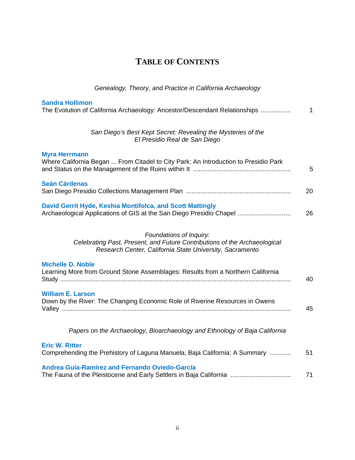| <b>TABLE OF CONTENTS</b> |
|--------------------------|
|--------------------------|

| Genealogy, Theory, and Practice in California Archaeology                                                                                                        |    |
|------------------------------------------------------------------------------------------------------------------------------------------------------------------|----|
| <b>Sandra Hollimon</b><br>The Evolution of California Archaeology: Ancestor/Descendant Relationships                                                             | 1  |
| San Diego's Best Kept Secret: Revealing the Mysteries of the<br>El Presidio Real de San Diego                                                                    |    |
| <b>Myra Herrmann</b><br>Where California Began  From Citadel to City Park: An Introduction to Presidio Park                                                      | 5  |
| <b>Seán Cárdenas</b>                                                                                                                                             | 20 |
| David Gerrit Hyde, Keshia Montifolca, and Scott Mattingly<br>Archaeological Applications of GIS at the San Diego Presidio Chapel                                 | 26 |
| Foundations of Inquiry:<br>Celebrating Past, Present, and Future Contributions of the Archaeological<br>Research Center, California State University, Sacramento |    |
| <b>Michelle D. Noble</b><br>Learning More from Ground Stone Assemblages: Results from a Northern California                                                      | 40 |
| <b>William E. Larson</b><br>Down by the River: The Changing Economic Role of Riverine Resources in Owens                                                         | 45 |
| Papers on the Archaeology, Bioarchaeology and Ethnology of Baja California                                                                                       |    |
| <b>Eric W. Ritter</b><br>Comprehending the Prehistory of Laguna Manuela, Baja California: A Summary                                                              | 51 |
| Andrea Guía-Ramírez and Fernando Oviedo-García                                                                                                                   | 71 |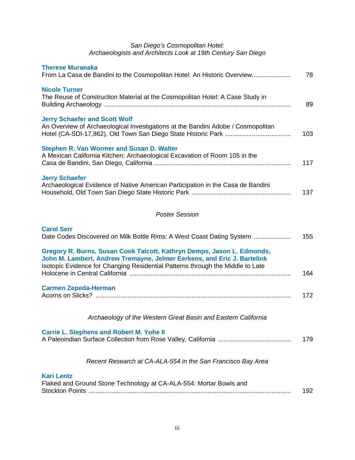## *San Diego's Cosmopolitan Hotel: Archaeologists and Architects Look at 19th Century San Diego*

| <b>Therese Muranaka</b><br>From La Casa de Bandini to the Cosmopolitan Hotel: An Historic Overview                                                                                                                                  | 78  |
|-------------------------------------------------------------------------------------------------------------------------------------------------------------------------------------------------------------------------------------|-----|
| <b>Nicole Turner</b><br>The Reuse of Construction Material at the Cosmopolitan Hotel: A Case Study in                                                                                                                               | 89  |
| <b>Jerry Schaefer and Scott Wolf</b><br>An Overview of Archaeological Investigations at the Bandini Adobe / Cosmopolitan                                                                                                            | 103 |
| Stephen R. Van Wormer and Susan D. Walter<br>A Mexican California Kitchen: Archaeological Excavation of Room 105 in the                                                                                                             | 117 |
| <b>Jerry Schaefer</b><br>Archaeological Evidence of Native American Participation in the Casa de Bandini                                                                                                                            | 137 |
| <b>Poster Session</b>                                                                                                                                                                                                               |     |
| <b>Carol Serr</b><br>Date Codes Discovered on Milk Bottle Rims: A West Coast Dating System                                                                                                                                          | 155 |
| Gregory R. Burns, Susan Cook Talcott, Kathryn Demps, Jason L. Edmonds,<br>John M. Lambert, Andrew Tremayne, Jelmer Eerkens, and Eric J. Bartelink<br>Isotopic Evidence for Changing Residential Patterns through the Middle to Late | 164 |
| <b>Carmen Zepeda-Herman</b>                                                                                                                                                                                                         | 172 |
| Archaeology of the Western Great Basin and Eastern California                                                                                                                                                                       |     |
| <b>Carrie L. Stephens and Robert M. Yohe II</b>                                                                                                                                                                                     | 179 |
| Recent Research at CA-ALA-554 in the San Francisco Bay Area                                                                                                                                                                         |     |
| <b>Kari Lentz</b><br>Flaked and Ground Stone Technology at CA-ALA-554: Mortar Bowls and                                                                                                                                             | 192 |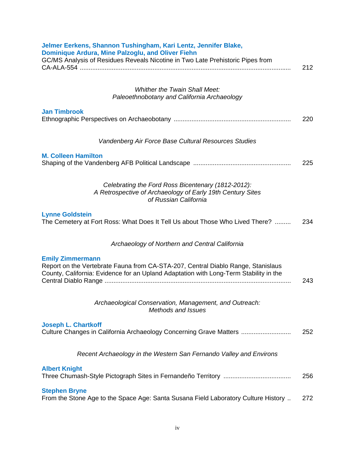| Jelmer Eerkens, Shannon Tushingham, Kari Lentz, Jennifer Blake,<br>Dominique Ardura, Mine Palzoglu, and Oliver Fiehn<br>GC/MS Analysis of Residues Reveals Nicotine in Two Late Prehistoric Pipes from |     |
|--------------------------------------------------------------------------------------------------------------------------------------------------------------------------------------------------------|-----|
|                                                                                                                                                                                                        | 212 |
| <b>Whither the Twain Shall Meet:</b>                                                                                                                                                                   |     |
| Paleoethnobotany and California Archaeology                                                                                                                                                            |     |
| <b>Jan Timbrook</b>                                                                                                                                                                                    | 220 |
| Vandenberg Air Force Base Cultural Resources Studies                                                                                                                                                   |     |
| <b>M. Colleen Hamilton</b>                                                                                                                                                                             | 225 |
| Celebrating the Ford Ross Bicentenary (1812-2012):<br>A Retrospective of Archaeology of Early 19th Century Sites<br>of Russian California                                                              |     |
| <b>Lynne Goldstein</b><br>The Cemetery at Fort Ross: What Does It Tell Us about Those Who Lived There?                                                                                                 | 234 |
| Archaeology of Northern and Central California                                                                                                                                                         |     |
| <b>Emily Zimmermann</b><br>Report on the Vertebrate Fauna from CA-STA-207, Central Diablo Range, Stanislaus<br>County, California: Evidence for an Upland Adaptation with Long-Term Stability in the   | 243 |
| Archaeological Conservation, Management, and Outreach:<br><b>Methods and Issues</b>                                                                                                                    |     |
| <b>Joseph L. Chartkoff</b><br>Culture Changes in California Archaeology Concerning Grave Matters                                                                                                       | 252 |
| Recent Archaeology in the Western San Fernando Valley and Environs                                                                                                                                     |     |
| <b>Albert Knight</b>                                                                                                                                                                                   | 256 |
| <b>Stephen Bryne</b><br>From the Stone Age to the Space Age: Santa Susana Field Laboratory Culture History                                                                                             | 272 |